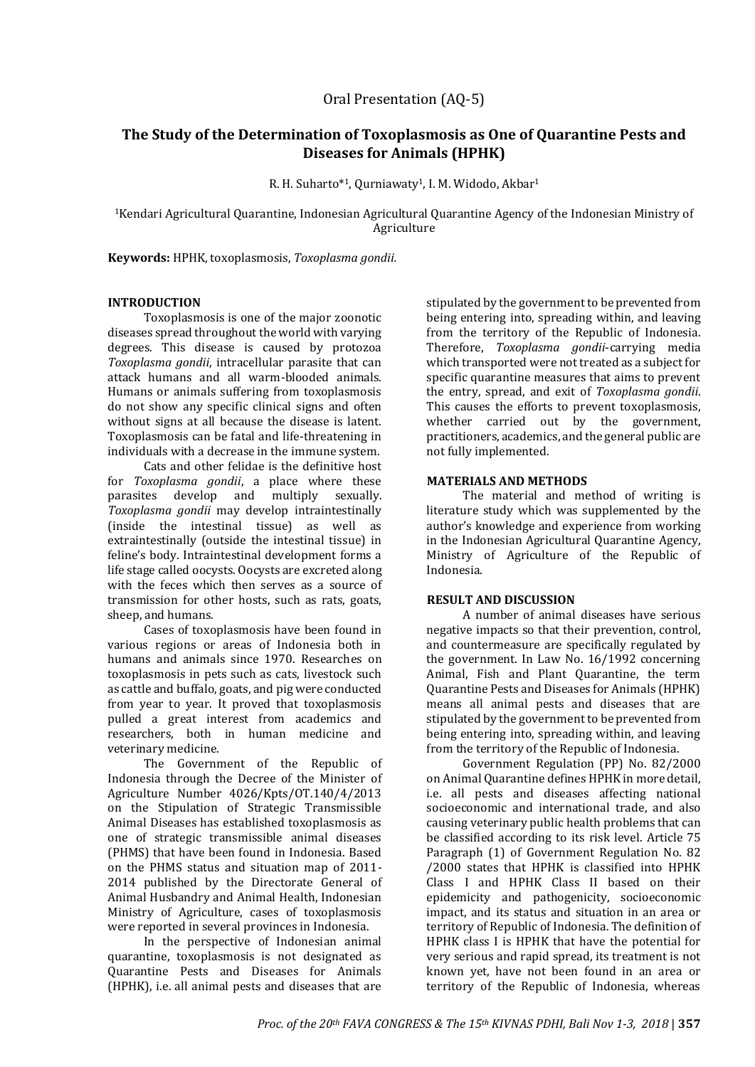# **The Study of the Determination of Toxoplasmosis as One of Quarantine Pests and Diseases for Animals (HPHK)**

R. H. Suharto\*<sup>1</sup>, Qurniawaty<sup>1</sup>, I. M. Widodo, Akbar<sup>1</sup>

<sup>1</sup>Kendari Agricultural Quarantine, Indonesian Agricultural Quarantine Agency of the Indonesian Ministry of **Agriculture** 

**Keywords:** HPHK, toxoplasmosis, *Toxoplasma gondii.*

### **INTRODUCTION**

Toxoplasmosis is one of the major zoonotic diseases spread throughout the world with varying degrees. This disease is caused by protozoa *Toxoplasma gondii*, intracellular parasite that can attack humans and all warm-blooded animals. Humans or animals suffering from toxoplasmosis do not show any specific clinical signs and often without signs at all because the disease is latent. Toxoplasmosis can be fatal and life-threatening in individuals with a decrease in the immune system.

Cats and other felidae is the definitive host for *Toxoplasma gondii*, a place where these parasites develop and multiply sexually. *Toxoplasma gondii* may develop intraintestinally (inside the intestinal tissue) as well as extraintestinally (outside the intestinal tissue) in feline's body. Intraintestinal development forms a life stage called oocysts. Oocysts are excreted along with the feces which then serves as a source of transmission for other hosts, such as rats, goats, sheep, and humans.

Cases of toxoplasmosis have been found in various regions or areas of Indonesia both in humans and animals since 1970. Researches on toxoplasmosis in pets such as cats, livestock such as cattle and buffalo, goats, and pig were conducted from year to year. It proved that toxoplasmosis pulled a great interest from academics and researchers, both in human medicine and veterinary medicine.

The Government of the Republic of Indonesia through the Decree of the Minister of Agriculture Number 4026/Kpts/OT.140/4/2013 on the Stipulation of Strategic Transmissible Animal Diseases has established toxoplasmosis as one of strategic transmissible animal diseases (PHMS) that have been found in Indonesia. Based on the PHMS status and situation map of 2011- 2014 published by the Directorate General of Animal Husbandry and Animal Health, Indonesian Ministry of Agriculture, cases of toxoplasmosis were reported in several provinces in Indonesia.

In the perspective of Indonesian animal quarantine, toxoplasmosis is not designated as Quarantine Pests and Diseases for Animals (HPHK), i.e. all animal pests and diseases that are

stipulated by the government to be prevented from being entering into, spreading within, and leaving from the territory of the Republic of Indonesia. Therefore, *Toxoplasma gondii*-carrying media which transported were not treated as a subject for specific quarantine measures that aims to prevent the entry, spread, and exit of *Toxoplasma gondii*. This causes the efforts to prevent toxoplasmosis, whether carried out by the government, practitioners, academics, and the general public are not fully implemented.

## **MATERIALS AND METHODS**

The material and method of writing is literature study which was supplemented by the author's knowledge and experience from working in the Indonesian Agricultural Quarantine Agency, Ministry of Agriculture of the Republic of Indonesia.

### **RESULT AND DISCUSSION**

A number of animal diseases have serious negative impacts so that their prevention, control, and countermeasure are specifically regulated by the government. In Law No. 16/1992 concerning Animal, Fish and Plant Quarantine, the term Quarantine Pests and Diseases for Animals (HPHK) means all animal pests and diseases that are stipulated by the government to be prevented from being entering into, spreading within, and leaving from the territory of the Republic of Indonesia.

Government Regulation (PP) No. 82/2000 on Animal Quarantine defines HPHK in more detail, i.e. all pests and diseases affecting national socioeconomic and international trade, and also causing veterinary public health problems that can be classified according to its risk level. Article 75 Paragraph (1) of Government Regulation No. 82 /2000 states that HPHK is classified into HPHK Class I and HPHK Class II based on their epidemicity and pathogenicity, socioeconomic impact, and its status and situation in an area or territory of Republic of Indonesia. The definition of HPHK class I is HPHK that have the potential for very serious and rapid spread, its treatment is not known yet, have not been found in an area or territory of the Republic of Indonesia, whereas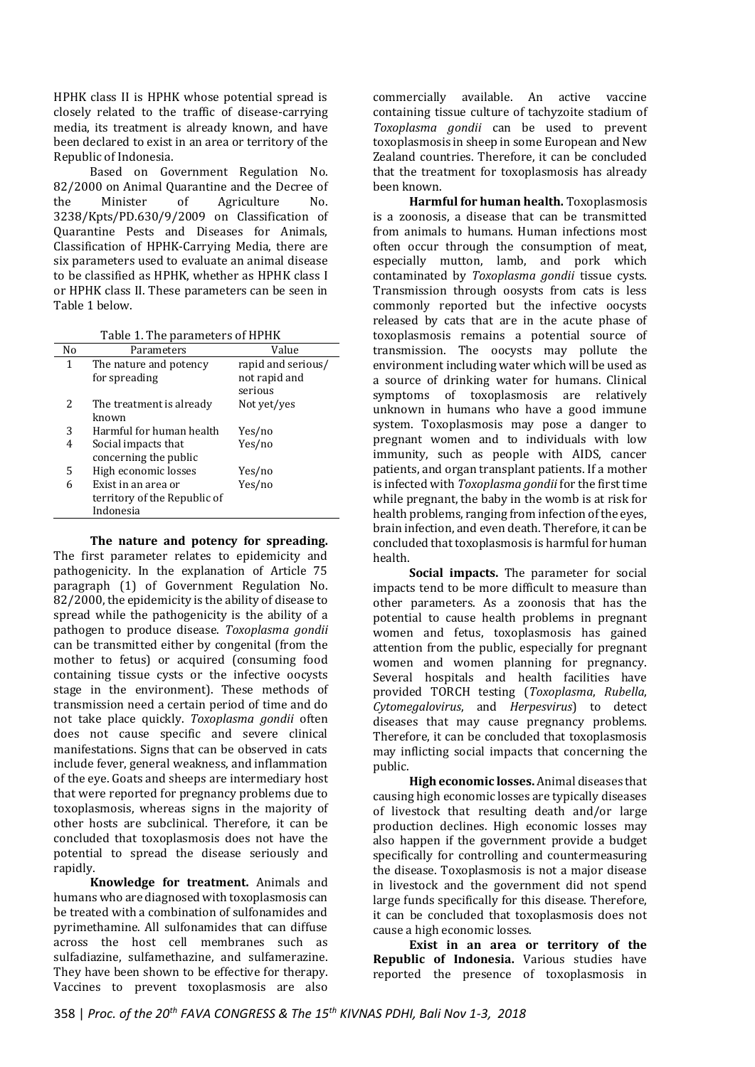HPHK class II is HPHK whose potential spread is closely related to the traffic of disease-carrying media, its treatment is already known, and have been declared to exist in an area or territory of the Republic of Indonesia.

Based on Government Regulation No. 82/2000 on Animal Quarantine and the Decree of the Minister of Agriculture No. 3238/Kpts/PD.630/9/2009 on Classification of Quarantine Pests and Diseases for Animals, Classification of HPHK-Carrying Media, there are six parameters used to evaluate an animal disease to be classified as HPHK, whether as HPHK class I or HPHK class II. These parameters can be seen in Table 1 below.

| Table 1. The parameters of HPHK |  |
|---------------------------------|--|
|---------------------------------|--|

| No | Parameters                   | Value              |
|----|------------------------------|--------------------|
| 1  | The nature and potency       | rapid and serious/ |
|    | for spreading                | not rapid and      |
|    |                              | serious            |
| 2  | The treatment is already     | Not yet/yes        |
|    | known                        |                    |
| 3  | Harmful for human health     | Yes/no             |
| 4  | Social impacts that          | Yes/no             |
|    | concerning the public        |                    |
| 5. | High economic losses         | Yes/no             |
| 6  | Exist in an area or          | Yes/no             |
|    | territory of the Republic of |                    |
|    | Indonesia                    |                    |

**The nature and potency for spreading.** The first parameter relates to epidemicity and pathogenicity. In the explanation of Article 75 paragraph (1) of Government Regulation No. 82/2000, the epidemicity is the ability of disease to spread while the pathogenicity is the ability of a pathogen to produce disease. *Toxoplasma gondii* can be transmitted either by congenital (from the mother to fetus) or acquired (consuming food containing tissue cysts or the infective oocysts stage in the environment). These methods of transmission need a certain period of time and do not take place quickly. *Toxoplasma gondii* often does not cause specific and severe clinical manifestations. Signs that can be observed in cats include fever, general weakness, and inflammation of the eye. Goats and sheeps are intermediary host that were reported for pregnancy problems due to toxoplasmosis, whereas signs in the majority of other hosts are subclinical. Therefore, it can be concluded that toxoplasmosis does not have the potential to spread the disease seriously and rapidly.

**Knowledge for treatment.** Animals and humans who are diagnosed with toxoplasmosis can be treated with a combination of sulfonamides and pyrimethamine. All sulfonamides that can diffuse across the host cell membranes such as sulfadiazine, sulfamethazine, and sulfamerazine. They have been shown to be effective for therapy. Vaccines to prevent toxoplasmosis are also commercially available. An active vaccine containing tissue culture of tachyzoite stadium of *Toxoplasma gondii* can be used to prevent toxoplasmosis in sheep in some European and New Zealand countries. Therefore, it can be concluded that the treatment for toxoplasmosis has already been known.

**Harmful for human health.** Toxoplasmosis is a zoonosis, a disease that can be transmitted from animals to humans. Human infections most often occur through the consumption of meat, especially mutton, lamb, and pork which contaminated by *Toxoplasma gondii* tissue cysts. Transmission through oosysts from cats is less commonly reported but the infective oocysts released by cats that are in the acute phase of toxoplasmosis remains a potential source of transmission. The oocysts may pollute the environment including water which will be used as a source of drinking water for humans. Clinical symptoms of toxoplasmosis are relatively unknown in humans who have a good immune system. Toxoplasmosis may pose a danger to pregnant women and to individuals with low immunity, such as people with AIDS, cancer patients, and organ transplant patients. If a mother is infected with *Toxoplasma gondii* for the first time while pregnant, the baby in the womb is at risk for health problems, ranging from infection of the eyes, brain infection, and even death. Therefore, it can be concluded that toxoplasmosis is harmful for human health.

**Social impacts.** The parameter for social impacts tend to be more difficult to measure than other parameters. As a zoonosis that has the potential to cause health problems in pregnant women and fetus, toxoplasmosis has gained attention from the public, especially for pregnant women and women planning for pregnancy. Several hospitals and health facilities have provided TORCH testing (*Toxoplasma*, *Rubella*, *Cytomegalovirus*, and *Herpesvirus*) to detect diseases that may cause pregnancy problems. Therefore, it can be concluded that toxoplasmosis may inflicting social impacts that concerning the public.

**High economic losses.** Animal diseases that causing high economic losses are typically diseases of livestock that resulting death and/or large production declines. High economic losses may also happen if the government provide a budget specifically for controlling and countermeasuring the disease. Toxoplasmosis is not a major disease in livestock and the government did not spend large funds specifically for this disease. Therefore, it can be concluded that toxoplasmosis does not cause a high economic losses.

**Exist in an area or territory of the Republic of Indonesia.** Various studies have reported the presence of toxoplasmosis in